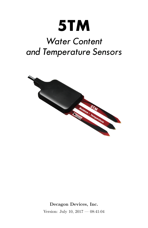# 5TM

# **Water Content** and Temperature Sensors



Decagon Devices, Inc. Version: July 10, 2017 — 08:41:04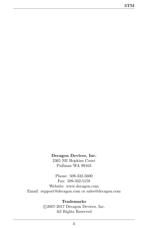#### Decagon Devices, Inc.

2365 NE Hopkins Court Pullman WA 99163

Phone: 509-332-5600 Fax: 509-332-5158 Website: www.decagon.com Email: support@decagon.com or sales@decagon.com

#### Trademarks

 c 2007-2017 Decagon Devices, Inc. All Rights Reserved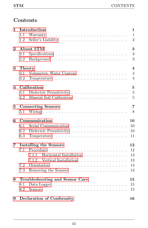# Contents

| 1        | Introduction                                                                 | $\mathbf{1}$            |
|----------|------------------------------------------------------------------------------|-------------------------|
|          | 1.1                                                                          | $\mathbf{1}$            |
|          | Seller's Liability<br>1.2                                                    | $\overline{2}$          |
| $\bf{2}$ | About 5TM                                                                    | 3                       |
|          | 2.1<br>$Specifications \tldots \tldots \tldots \tldots \tldots \tldots$      | 3                       |
|          | 2.2                                                                          | 3                       |
| 3        | <b>Theory</b>                                                                | $\overline{\mathbf{4}}$ |
|          | Volumetric Water Content<br>3.1                                              | $\overline{4}$          |
|          | 3.2                                                                          | $\overline{4}$          |
| 4        | Calibration                                                                  | $\overline{5}$          |
|          | 4.1                                                                          | $\overline{5}$          |
|          | Mineral Soil Calibration<br>4.2                                              | $\overline{5}$          |
| 5        | <b>Connecting Sensors</b>                                                    | $\overline{7}$          |
|          | 5.1                                                                          | 8                       |
| 6        | Communication                                                                | 10                      |
|          | 6.1<br>Serial Communication                                                  | 10                      |
|          | 6.2                                                                          | 10                      |
|          | 6.3                                                                          | 11                      |
| 7        | <b>Installing the Sensors</b>                                                | 12                      |
|          | 7.1                                                                          | 12                      |
|          | Horizontal Installation<br>711                                               | 13                      |
|          | Vertical Installation<br>7.1.2                                               | 13                      |
|          | 7.2                                                                          | 14                      |
|          | 7.3                                                                          | 14                      |
| 8        | Troubleshooting and Sensor Care                                              | 15                      |
|          | Data Logger $\ldots \ldots \ldots \ldots \ldots \ldots \ldots \ldots$<br>8.1 | 15                      |
|          | 8.2                                                                          | 15                      |
| 9        | <b>Declaration of Conformity</b>                                             | 16                      |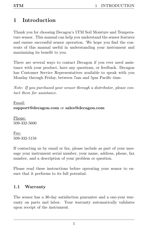# <span id="page-3-2"></span><span id="page-3-0"></span>1 Introduction

Thank you for choosing Decagon's 5TM Soil Moisture and Temperature sensor. This manual can help you understand the sensor features and ensure successful sensor operation. We hope you find the contents of this manual useful in understanding your instrument and maximizing its benefit to you.

There are several ways to contact Decagon if you ever need assistance with your product, have any questions, or feedback. Decagon has Customer Service Representatives available to speak with you Monday through Friday, between 7am and 5pm Pacific time.

Note: If you purchased your sensor through a distributor, please contact them for assistance.

#### Email: support@decagon.com or sales@decagon.com

Phone: 509-332-5600

Fax: 509-332-5158

If contacting us by email or fax, please include as part of your message your instrument serial number, your name, address, phone, fax number, and a description of your problem or question.

Please read these instructions before operating your sensor to ensure that it performs to its full potential.

#### <span id="page-3-1"></span>1.1 Warranty

The sensor has a 30-day satisfaction guarantee and a one-year warranty on parts and labor. Your warranty automatically validates upon receipt of the instrument.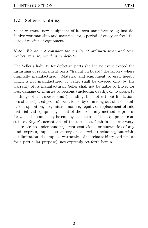#### <span id="page-4-1"></span><span id="page-4-0"></span>1.2 Seller's Liability

Seller warrants new equipment of its own manufacture against defective workmanship and materials for a period of one year from the date of receipt of equipment.

Note: We do not consider the results of ordinary wear and tear, neglect, misuse, accident as defects.

The Seller's liability for defective parts shall in no event exceed the furnishing of replacement parts "freight on board" the factory where originally manufactured. Material and equipment covered hereby which is not manufactured by Seller shall be covered only by the warranty of its manufacturer. Seller shall not be liable to Buyer for loss, damage or injuries to persons (including death), or to property or things of whatsoever kind (including, but not without limitation, loss of anticipated profits), occasioned by or arising out of the installation, operation, use, misuse, nonuse, repair, or replacement of said material and equipment, or out of the use of any method or process for which the same may be employed. The use of this equipment constitutes Buyer's acceptance of the terms set forth in this warranty. There are no understandings, representations, or warranties of any kind, express, implied, statutory or otherwise (including, but without limitation, the implied warranties of merchantability and fitness for a particular purpose), not expressly set forth herein.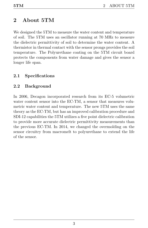# <span id="page-5-3"></span><span id="page-5-0"></span>2 About 5TM

We designed the 5TM to measure the water content and temperature of soil. The 5TM uses an oscillator running at 70 MHz to measure the dielectric permittivity of soil to determine the water content. A thermistor in thermal contact with the sensor prongs provides the soil temperature. The Polyurethane coating on the 5TM circuit board protects the components from water damage and gives the sensor a longer life span.

#### <span id="page-5-1"></span>2.1 Specifications

### <span id="page-5-2"></span>2.2 Background

In 2006, Decagon incorporated research from its EC-5 volumetric water content sensor into the EC-TM, a sensor that measures volumetric water content and temperature. The new 5TM uses the same theory as the EC-TM, but has an improved calibration procedure and SDI-12 capabilities the 5TM utilizes a five point dielectric calibration to provide more accurate dielectric permittivity measurements than the previous EC-TM. In 2014, we changed the overmolding on the sensor circuitry from macromelt to polyurethane to extend the life of the sensor.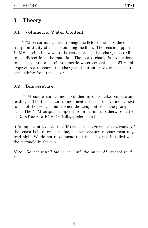# <span id="page-6-3"></span><span id="page-6-0"></span>3 Theory

#### <span id="page-6-1"></span>3.1 Volumetric Water Content

The 5TM sensor uses an electromagnetic field to measure the dielectric permittivity of the surrounding medium. The sensor supplies a 70 MHz oscillating wave to the sensor prongs that charges according to the dielectric of the material. The stored charge is proportional to soil dielectric and soil volumetric water content. The 5TM microprocessor measures the charge and outputs a value of dielectric permittivity from the sensor.

#### <span id="page-6-2"></span>3.2 Temperature

The 5TM uses a surface-mounted thermistor to take temperature readings. The thermistor is underneath the sensor overmold, next to one of the prongs, and it reads the temperature of the prong surface. The 5TM outputs temperature in ◦C unless otherwise stated in DataTrac 3 or ECH2O Utility preferences file.

It is important to note that if the black polyurethane overmold of the sensor is in direct sunshine, the temperature measurement may read high. We do not recommend that the sensor be installed with the overmold in the sun.

Note: Do not install the sensor with the overmold exposed to the sun.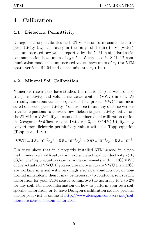# <span id="page-7-3"></span><span id="page-7-0"></span>4 Calibration

#### <span id="page-7-1"></span>4.1 Dielectric Permittivity

Decagon factory calibrates each 5TM sensor to measure dielectric permittivity  $(\varepsilon_a)$  accurately in the range of 1 (air) to 80 (water). The unprocessed raw values reported by the 5TM in standard serial communication have units of  $\varepsilon_a * 50$ . When used in SDI- 12 communication mode, the unprocessed values have units of  $\varepsilon_a$  (for 5TM board versions R2-04 and older, units are,  $\varepsilon_a * 100$ ).

#### <span id="page-7-2"></span>4.2 Mineral Soil Calibration

Numerous researchers have studied the relationship between dielectric permittivity and volumetric water content (VWC) in soil. As a result, numerous transfer equations that predict VWC from measured dielectric permittivity. You are free to use any of these various transfer equations to convert raw dielectric permittivity data from the 5TM into VWC. If you choose the mineral soil calibration option in Decagon's ProCheck reader, DataTrac 3, or ECH2O Utility, they convert raw dielectric permittivity values with the Topp equation (Topp et al. 1980).

$$
\mathrm{VWC} = 4.3*10^{-6} \varepsilon_{a}^{-3} - 5.5*10^{-4} \varepsilon_{a}^{-2} + 2.92*10^{-2} \varepsilon_{a} - 5.3*10^{-2}
$$

Our tests show that in a properly installed 5TM sensor in a normal mineral soil with saturation extract electrical conductivity  $< 10$  $dS/m$ , the Topp equation results in measurements within  $\pm 3\%$  VWC of the actual soil VWC. If you require more accurate VWC than  $\pm 3\%$ , are working in a soil with very high electrical conductivity, or nonnormal mineralogy, then it may be necessary to conduct a soil specific calibration for your 5TM sensor to improve the accuracy to 1 to 2% for any soil. For more information on how to perform your own soilspecific calibration, or to have Decagon's calibration service perform one for you, visit us online at http://www.decagon.com/services/soilmoisture-sensor-custom-calibration.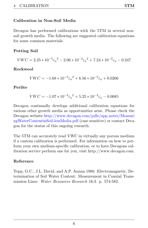#### Calibration in Non-Soil Media

Decagon has performed calibrations with the 5TM in several nonsoil growth media. The following are suggested calibration equations for some common materials.

#### Potting Soil

 $VWC = 2.25 * 10^{-5} \varepsilon_a^3 - 2.06 * 10^{-3} \varepsilon_a^2 + 7.24 * 10^{-2} \varepsilon_a - 0.247$ 

#### Rockwool

$$
VWC = -1.68 * 10^{-3} \varepsilon_a^2 + 6.56 * 10^{-2} \varepsilon_a + 0.0266
$$

#### Perlite

$$
VWC = -1.07 * 10^{-3} \varepsilon_a^2 + 5.25 * 10^{-2} \varepsilon_a - 0.0685
$$

Decagon continually develops additional calibration equations for various other growth media as opportunities arise. Please check the Decagon website http://www.decagon.com/pdfs/app notes/Measuri ngWaterContentinSoil-lessMedia.pdf (case sensitive) or contact Deca gon for the status of this ongoing research.

The 5TM can accurately read VWC in virtually any porous medium if a custom calibration is performed. For information on how to perform your own medium-specific calibration, or to have Decagons calibration service perform one for you, visit http://www.decagon.com.

#### Reference

Topp, G.C., J.L. David, and A.P. Annan 1980. Electromagnetic, Determination of Soil Water Content: Measurement in Coaxial Transmission Lines. *Water Resources Research* 16:3. p. 574-582.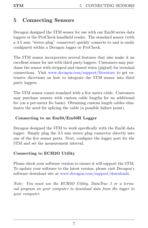# <span id="page-9-1"></span><span id="page-9-0"></span>5 Connecting Sensors

Decagon designed the 5TM sensor for use with our Em50 series data loggers or the ProCheck handheld reader. The standard sensor (with a 3.5 mm "stereo plug" connector) quickly connects to and is easily configured within a Decagon logger or ProCheck.

The 5TM sensor incorporates several features that also make it an excellent sensor for use with third party loggers. Customers may purchase the sensor with stripped and tinned wires (pigtail) for terminal connections. Visit www.decagon.com/support/literature to get extensive directions on how to integrate the 5TM sensor into third party loggers.

The 5TM sensor comes standard with a five meter cable. Customers may purchase sensors with custom cable lengths for an additional fee (on a per-meter fee basis). Obtaining custom length cables eliminates the need for splicing the cable (a possible failure point).

#### Connecting to an Em50/Em50R Logger

Decagon designed the 5TM to work specifically with the Em50 data logger. Simply plug the 3.5 mm stereo plug connector directly into one of the five sensor ports. Next, configure the logger port for the 5TM and set the measurement interval.

#### Connecting to ECH2O Utility

Please check your software version to ensure it will support the 5TM. To update your software to the latest version, please visit Decagon's software download site at www.decagon.com/support/downloads.

Note: You must use the ECH2O Utility, DataTrac 3 or a terminal program on your computer to download data from the logger to your computer.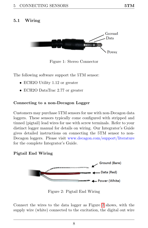#### <span id="page-10-2"></span><span id="page-10-0"></span>5.1 Wiring



Figure 1: Stereo Connector

The following software support the 5TM sensor:

- ECH2O Utility 1.12 or greater
- ECH2O DataTrac 2.77 or greater

#### Connecting to a non-Decagon Logger

Customers may purchase 5TM sensors for use with non-Decagon data loggers. These sensors typically come configured with stripped and tinned (pigtail) lead wires for use with screw terminals. Refer to your distinct logger manual for details on wiring. Our Integrator's Guide gives detailed instructions on connecting the 5TM sensor to non-Decagon loggers. Please visit www.decagon.com/support/literature for the complete Integrator's Guide.

#### <span id="page-10-1"></span>Pigtail End Wiring



Figure 2: Pigtail End Wiring

Connect the wires to the data logger as Figure [2](#page-10-1) shows, with the supply wire (white) connected to the excitation, the digital out wire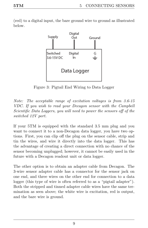<span id="page-11-0"></span>(red) to a digital input, the bare ground wire to ground as illustrated below.



Figure 3: Pigtail End Wiring to Data Logger

Note: The acceptable range of excitation voltages is from 3.6-15 VDC. If you wish to read your Decagon sensor with the Campbell Scientific Data Loggers, you will need to power the sensors off of the switched 12V port.

If your 5TM is equipped with the standard 3.5 mm plug and you want to connect it to a non-Decagon data logger, you have two options. First, you can clip off the plug on the sensor cable, strip and tin the wires, and wire it directly into the data logger. This has the advantage of creating a direct connection with no chance of the sensor becoming unplugged; however, it cannot be easily used in the future with a Decagon readout unit or data logger.

The other option is to obtain an adapter cable from Decagon. The 3-wire sensor adapter cable has a connector for the sensor jack on one end, and three wires on the other end for connection to a data logger (this type of wire is often referred to as a "pigtail adapter"). Both the stripped and tinned adapter cable wires have the same termination as seen above; the white wire is excitation, red is output, and the bare wire is ground.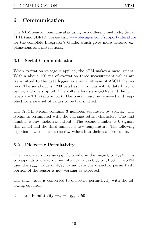# <span id="page-12-3"></span><span id="page-12-0"></span>6 Communication

The 5TM sensor communicates using two different methods, Serial (TTL) and SDI-12. Please visit www.decagon.com/support/literature for the complete Integrator's Guide, which gives more detailed explanations and instructions.

#### <span id="page-12-1"></span>6.1 Serial Communication

When excitation voltage is applied, the 5TM makes a measurment. Within about 120 ms of excitation three measurement values are transmitted to the data logger as a serial stream of ASCII characters. The serial out is 1200 baud asynchronous with 8 data bits, no parity, and one stop bit. The voltage levels are 0-3.6V and the logic levels are TTL (active low). The power must be removed and reapplied for a new set of values to be transmitted.

The ASCII stream contains 3 numbers separated by spaces. The stream is terminated with the carriage return character. The first number is raw dielectric output. The second number is 0 (ignore) this value) and the third number is raw temperature. The following explains how to convert the raw values into their standard units.

#### <span id="page-12-2"></span>6.2 Dielectric Permittivity

The raw dielectric value  $(\varepsilon_{\text{Raw}})$ , is valid in the range 0 to 4094. This corresponds to dielectric permittivity values 0.00 to 81.88. The 5TM uses the  $\varepsilon_{\text{Raw}}$  value of 4095 to indicate the dielectric permittivity portion of the sensor is not working as expected.

The  $\varepsilon_{\text{Raw}}$  value is converted to dielectric permittivity with the following equation:

Dielectric Permittivity  $=\varepsilon_a = \varepsilon_{Raw} / 50$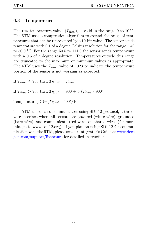#### <span id="page-13-0"></span>6.3 Temperature

The raw temperature value,  $(T_{Raw})$ , is valid in the range 0 to 1022. The 5TM uses a compression algorithm to extend the range of temperatures that can be represented by a 10-bit value. The sensor sends temperature with 0.1 of a degree Celsius resolution for the range −40 to  $50.0$  °C. For the range  $50.5$  to  $111.0$  the sensor sends temperature with a 0.5 of a degree resolution. Temperatures outside this range are truncated to the maximum or minimum values as appropriate. The 5TM uses the  $T_{Raw}$  value of 1023 to indicate the temperature portion of the sensor is not working as expected.

If  $T_{Raw} \leq 900$  then  $T_{Raw2} = T_{Raw}$ 

If  $T_{Raw} > 900$  then  $T_{Raw2} = 900 + 5$  ( $T_{Raw}$  - 900)

Temperature( $°C$ )=( $T_{Raw2}$  - 400)/10

The 5TM sensor also communicates using SDI-12 protocol, a threewire interface where all sensors are powered (white wire), grounded (bare wire), and communicate (red wire) on shared wires (for more info, go to www.sdi-12.org). If you plan on using SDI-12 for communication with the 5TM, please see our Integrator's Guide at www.deca gon.com/support/literature for detailed instructions.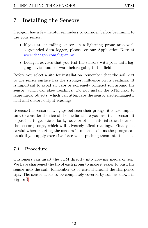# <span id="page-14-2"></span><span id="page-14-0"></span>7 Installing the Sensors

Decagon has a few helpful reminders to consider before beginning to use your sensor.

- If you are installing sensors in a lightning prone area with a grounded data logger, please see our Application Note at www.decagon.com/lightning.
- Decagon advises that you test the sensors with your data logging device and software before going to the field.

Before you select a site for installation, remember that the soil next to the sensor surface has the strongest influence on its readings. It is important to avoid air gaps or extremely compact soil around the sensor, which can skew readings. Do not install the 5TM next to large metal objects, which can attenuate the sensor electromagnetic field and distort output readings.

Because the sensors have gaps between their prongs, it is also important to consider the size of the media where you insert the sensor. It is possible to get sticks, bark, roots or other material stuck between the sensor prongs, which will adversely affect readings. Finally, be careful when inserting the sensors into dense soil, as the prongs can break if you apply excessive force when pushing them into the soil.

#### <span id="page-14-1"></span>7.1 Procedure

Customers can insert the 5TM directly into growing media or soil. We have sharpened the tip of each prong to make it easier to push the sensor into the soil. Remember to be careful around the sharpened tips. The sensor needs to be completely covered by soil, as shown in Figure [4.](#page-15-2)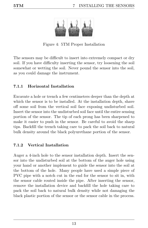<span id="page-15-3"></span><span id="page-15-2"></span>

Figure 4: 5TM Proper Installation

The sensors may be difficult to insert into extremely compact or dry soil. If you have difficulty inserting the sensor, try loosening the soil somewhat or wetting the soil. Never pound the sensor into the soil, as you could damage the instrument.

#### <span id="page-15-0"></span>7.1.1 Horizontal Installation

Excavate a hole or trench a few centimeters deeper than the depth at which the sensor is to be installed. At the installation depth, shave off some soil from the vertical soil face exposing undisturbed soil. Insert the sensor into the undisturbed soil face until the entire sensing portion of the sensor. The tip of each prong has been sharpened to make it easier to push in the sensor. Be careful to avoid the sharp tips. Backfill the trench taking care to pack the soil back to natural bulk density around the black polyurethane portion of the sensor.

#### <span id="page-15-1"></span>7.1.2 Vertical Installation

Auger a 4-inch hole to the sensor installation depth. Insert the sensor into the undisturbed soil at the bottom of the auger hole using your hand or another implement to guide the sensor into the soil at the bottom of the hole. Many people have used a simple piece of PVC pipe with a notch cut in the end for the sensor to sit in, with the sensor cable routed inside the pipe. After inserting the sensor, remove the installation device and backfill the hole taking care to pack the soil back to natural bulk density while not damaging the black plastic portion of the sensor or the sensor cable in the process.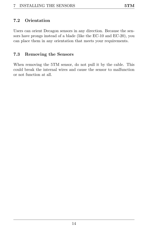#### <span id="page-16-2"></span><span id="page-16-0"></span>7.2 Orientation

Users can orient Decagon sensors in any direction. Because the sensors have prongs instead of a blade (like the EC-10 and EC-20), you can place them in any orientation that meets your requirements.

#### <span id="page-16-1"></span>7.3 Removing the Sensors

When removing the 5TM sensor, do not pull it by the cable. This could break the internal wires and cause the sensor to malfunction or not function at all.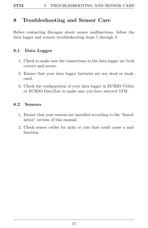# <span id="page-17-3"></span><span id="page-17-0"></span>8 Troubleshooting and Sensor Care

Before contacting Decagon about sensor malfunctions, follow the data logger and sensors troubleshooting steps 1 through 3.

#### <span id="page-17-1"></span>8.1 Data Logger

- 1. Check to make sure the connections to the data logger are both correct and secure.
- 2. Ensure that your data logger batteries are not dead or weakened.
- 3. Check the configuration of your data logger in ECH2O Utility or ECH2O DataTrac to make sure you have selected 5TM.

#### <span id="page-17-2"></span>8.2 Sensors

- 1. Ensure that your sensors are installed according to the "Installation" section of this manual.
- 2. Check sensor cables for nicks or cuts that could cause a malfunction.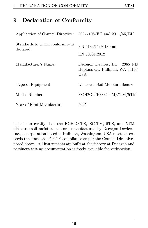# <span id="page-18-1"></span><span id="page-18-0"></span>9 Declaration of Conformity

| Application of Council Directive:             | $2004/108/EC$ and $2011/65/EU$                                        |
|-----------------------------------------------|-----------------------------------------------------------------------|
| Standards to which conformity is<br>declared: | EN $61326 - 1:2013$ and<br>EN 50581:2012                              |
| Manufacturer's Name:                          | Decagon Devices, Inc. 2365 NE<br>Hopkins Ct. Pullman, WA 99163<br>USA |
| Type of Equipment:                            | Dielectric Soil Moisture Sensor                                       |
| Model Number:                                 | ECH2O-TE/EC-TM/5TM/5TM                                                |
| Year of First Manufacture:                    | 2005                                                                  |

This is to certify that the ECH2O-TE, EC-TM, 5TE, and 5TM dielectric soil moisture sensors, manufactured by Decagon Devices, Inc., a corporation based in Pullman, Washington, USA meets or exceeds the standards for CE compliance as per the Council Directives noted above. All instruments are built at the factory at Decagon and pertinent testing documentation is freely available for verification.